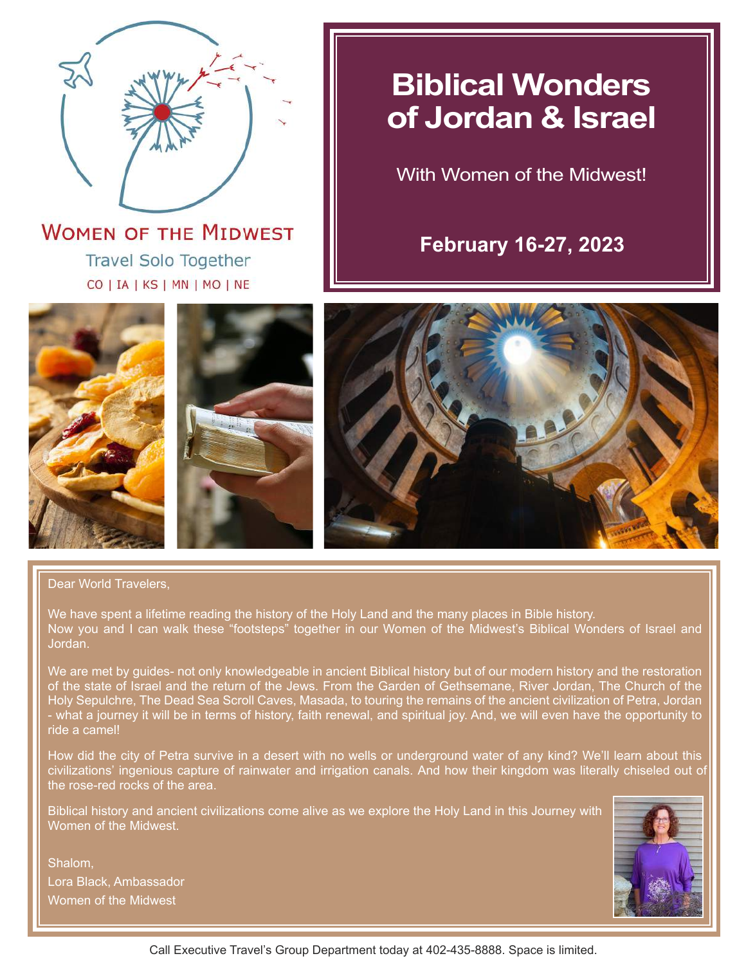

**WOMEN OF THE MIDWEST Travel Solo Together** CO | IA | KS | MN | MO | NE

## **Biblical Wonders of Jordan & Israel**

With Women of the Midwest!

**February 16-27, 2023**







Dear World Travelers,

We have spent a lifetime reading the history of the Holy Land and the many places in Bible history. Now you and I can walk these "footsteps" together in our Women of the Midwest's Biblical Wonders of Israel and Jordan.

We are met by guides- not only knowledgeable in ancient Biblical history but of our modern history and the restoration of the state of Israel and the return of the Jews. From the Garden of Gethsemane, River Jordan, The Church of the Holy Sepulchre, The Dead Sea Scroll Caves, Masada, to touring the remains of the ancient civilization of Petra, Jordan - what a journey it will be in terms of history, faith renewal, and spiritual joy. And, we will even have the opportunity to ride a camel!

How did the city of Petra survive in a desert with no wells or underground water of any kind? We'll learn about this civilizations' ingenious capture of rainwater and irrigation canals. And how their kingdom was literally chiseled out of the rose-red rocks of the area.

Biblical history and ancient civilizations come alive as we explore the Holy Land in this Journey with Women of the Midwest.

Shalom, Lora Black, Ambassador Women of the Midwest



Call Executive Travel's Group Department today at 402-435-8888. Space is limited.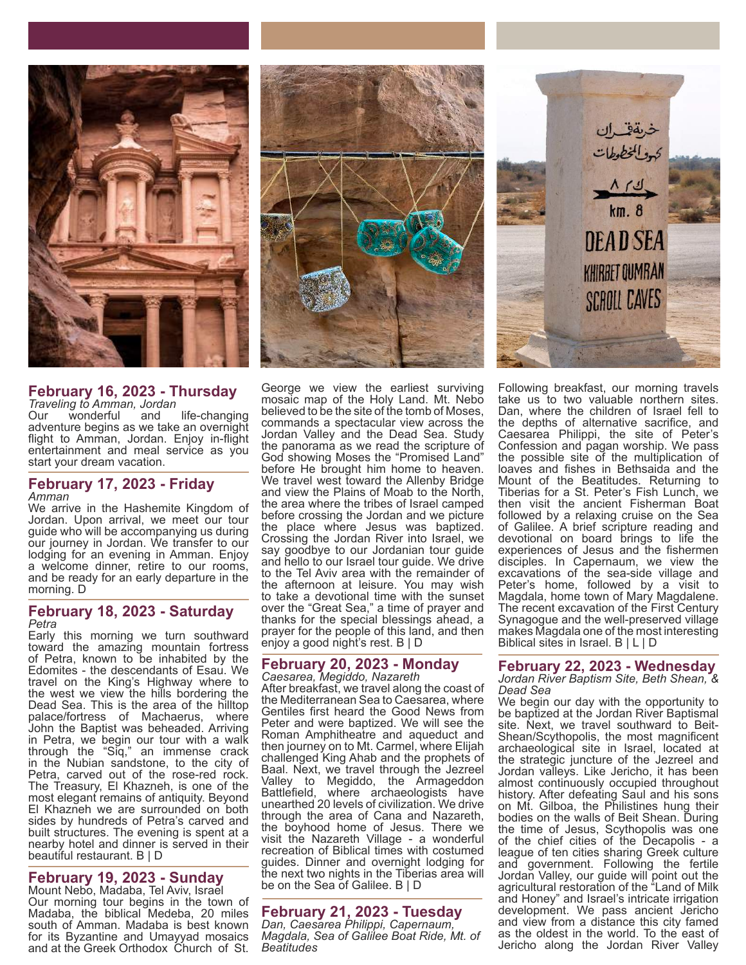

## **February 16, 2023 - Thursday**

*Traveling to Amman, Jordan* life-changing adventure begins as we take an overnight flight to Amman, Jordan. Enjoy in-flight entertainment and meal service as you start your dream vacation.

#### **February 17, 2023 - Friday**  *Amman*

We arrive in the Hashemite Kingdom of Jordan. Upon arrival, we meet our tour guide who will be accompanying us during our journey in Jordan. We transfer to our lodging for an evening in Amman. Enjoy a welcome dinner, retire to our rooms, and be ready for an early departure in the morning. D

#### **February 18, 2023 - Saturday**  *Petra*

Early this morning we turn southward toward the amazing mountain fortress of Petra, known to be inhabited by the Edomites - the descendants of Esau. We travel on the King's Highway where to the west we view the hills bordering the Dead Sea. This is the area of the hilltop palace/fortress of Machaerus, where John the Baptist was beheaded. Arriving in Petra, we begin our tour with a walk through the "Siq," an immense crack in the Nubian sandstone, to the city of Petra, carved out of the rose-red rock. The Treasury, El Khazneh, is one of the most elegant remains of antiquity. Beyond El Khazneh we are surrounded on both sides by hundreds of Petra's carved and built structures. The evening is spent at a nearby hotel and dinner is served in their beautiful restaurant. B | D

#### **February 19, 2023 - Sunday**

Mount Nebo, Madaba, Tel Aviv, Israel Our morning tour begins in the town of Madaba, the biblical Medeba, 20 miles south of Amman. Madaba is best known for its Byzantine and Umayyad mosaics and at the Greek Orthodox Church of St.



George we view the earliest surviving mosaic map of the Holy Land. Mt. Nebo believed to be the site of the tomb of Moses, commands a spectacular view across the Jordan Valley and the Dead Sea. Study the panorama as we read the scripture of God showing Moses the "Promised Land" before He brought him home to heaven. We travel west toward the Allenby Bridge and view the Plains of Moab to the North, the area where the tribes of Israel camped before crossing the Jordan and we picture the place where Jesus was baptized. Crossing the Jordan River into Israel, we say goodbye to our Jordanian tour guide and hello to our Israel tour guide. We drive to the Tel Aviv area with the remainder of the afternoon at leisure. You may wish to take a devotional time with the sunset over the "Great Sea," a time of prayer and thanks for the special blessings ahead, a prayer for the people of this land, and then enjoy a good night's rest. B | D

## **February 20, 2023 - Monday**

*Caesarea, Megiddo, Nazareth* After breakfast, we travel along the coast of the Mediterranean Sea to Caesarea, where Gentiles first heard the Good News from Peter and were baptized. We will see the Roman Amphitheatre and aqueduct and then journey on to Mt. Carmel, where Elijah challenged King Ahab and the prophets of Baal. Next, we travel through the Jezreel Valley to Megiddo, the Armageddon Battlefield, where archaeologists have unearthed 20 levels of civilization. We drive through the area of Cana and Nazareth, the boyhood home of Jesus. There we visit the Nazareth Village - a wonderful recreation of Biblical times with costumed guides. Dinner and overnight lodging for the next two nights in the Tiberias area will be on the Sea of Galilee. B | D

## **February 21, 2023 - Tuesday**

*Dan, Caesarea Philippi, Capernaum, Magdala, Sea of Galilee Boat Ride, Mt. of Beatitudes*

Following breakfast, our morning travels take us to two valuable northern sites. Dan, where the children of Israel fell to the depths of alternative sacrifice, and Caesarea Philippi, the site of Peter's Confession and pagan worship. We pass the possible site of the multiplication of loaves and fishes in Bethsaida and the Mount of the Beatitudes. Returning to Tiberias for a St. Peter's Fish Lunch, we then visit the ancient Fisherman Boat followed by a relaxing cruise on the Sea of Galilee. A brief scripture reading and devotional on board brings to life the experiences of Jesus and the fishermen disciples. In Capernaum, we view the excavations of the sea-side village and Peter's home, followed by a visit to Magdala, home town of Mary Magdalene. The recent excavation of the First Century Synagogue and the well-preserved village makes Magdala one of the most interesting Biblical sites in Israel. B | L | D

km.  $\epsilon$ 

**DEAD SEA** 

**KHIRBET OUMRAN** 

**SCROLL CAVES** 

#### **February 22, 2023 - Wednesday**  *Jordan River Baptism Site, Beth Shean, &*

*Dead Sea*

We begin our day with the opportunity to be baptized at the Jordan River Baptismal site. Next, we travel southward to Beit-Shean/Scythopolis, the most magnificent archaeological site in Israel, located at the strategic juncture of the Jezreel and Jordan valleys. Like Jericho, it has been almost continuously occupied throughout history. After defeating Saul and his sons on Mt. Gilboa, the Philistines hung their bodies on the walls of Beit Shean. During the time of Jesus, Scythopolis was one of the chief cities of the Decapolis - a league of ten cities sharing Greek culture and government. Following the fertile Jordan Valley, our guide will point out the agricultural restoration of the "Land of Milk and Honey" and Israel's intricate irrigation development. We pass ancient Jericho and view from a distance this city famed as the oldest in the world. To the east of Jericho along the Jordan River Valley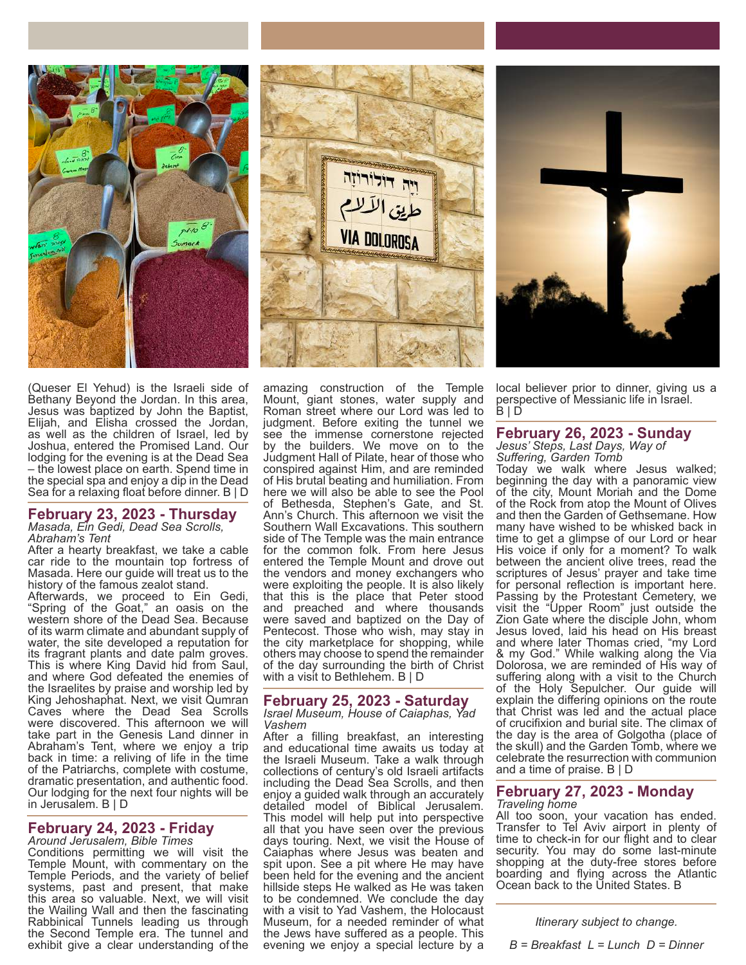

(Queser El Yehud) is the Israeli side of Bethany Beyond the Jordan. In this area, Jesus was baptized by John the Baptist, Elijah, and Elisha crossed the Jordan, as well as the children of Israel, led by Joshua, entered the Promised Land. Our lodging for the evening is at the Dead Sea – the lowest place on earth. Spend time in the special spa and enjoy a dip in the Dead Sea for a relaxing float before dinner. B | D

#### **February 23, 2023 - Thursday**

*Masada, Ein Gedi, Dead Sea Scrolls, Abraham's Tent*

After a hearty breakfast, we take a cable car ride to the mountain top fortress of Masada. Here our guide will treat us to the history of the famous zealot stand.

Afterwards, we proceed to Ein Gedi, "Spring of the Goat," an oasis on the western shore of the Dead Sea. Because of its warm climate and abundant supply of water, the site developed a reputation for its fragrant plants and date palm groves. This is where King David hid from Saul, and where God defeated the enemies of the Israelites by praise and worship led by King Jehoshaphat. Next, we visit Qumran Caves where the Dead Sea Scrolls were discovered. This afternoon we will take part in the Genesis Land dinner in Abraham's Tent, where we enjoy a trip back in time: a reliving of life in the time of the Patriarchs, complete with costume, dramatic presentation, and authentic food. Our lodging for the next four nights will be in Jerusalem. B | D

#### **February 24, 2023 - Friday**

*Around Jerusalem, Bible Times* Conditions permitting we will visit the Temple Mount, with commentary on the Temple Periods, and the variety of belief systems, past and present, that make this area so valuable. Next, we will visit the Wailing Wall and then the fascinating Rabbinical Tunnels leading us through the Second Temple era. The tunnel and exhibit give a clear understanding of the



amazing construction of the Temple Mount, giant stones, water supply and Roman street where our Lord was led to judgment. Before exiting the tunnel we see the immense cornerstone rejected by the builders. We move on to the Judgment Hall of Pilate, hear of those who conspired against Him, and are reminded of His brutal beating and humiliation. From here we will also be able to see the Pool of Bethesda, Stephen's Gate, and St. Ann's Church. This afternoon we visit the Southern Wall Excavations. This southern side of The Temple was the main entrance for the common folk. From here Jesus entered the Temple Mount and drove out the vendors and money exchangers who were exploiting the people. It is also likely that this is the place that Peter stood and preached and where thousands were saved and baptized on the Day of Pentecost. Those who wish, may stay in the city marketplace for shopping, while others may choose to spend the remainder of the day surrounding the birth of Christ with a visit to Bethlehem. B | D

## **February 25, 2023 - Saturday**

*Israel Museum, House of Caiaphas, Yad Vashem*

After a filling breakfast, an interesting and educational time awaits us today at the Israeli Museum. Take a walk through collections of century's old Israeli artifacts including the Dead Sea Scrolls, and then enjoy a guided walk through an accurately detailed model of Biblical Jerusalem. This model will help put into perspective all that you have seen over the previous days touring. Next, we visit the House of Caiaphas where Jesus was beaten and spit upon. See a pit where He may have been held for the evening and the ancient hillside steps He walked as He was taken to be condemned. We conclude the day with a visit to Yad Vashem, the Holocaust Museum, for a needed reminder of what the Jews have suffered as a people. This evening we enjoy a special lecture by a



local believer prior to dinner, giving us a perspective of Messianic life in Israel. B | D

#### **February 26, 2023 - Sunday**  *Jesus' Steps, Last Days, Way of*

*Suffering, Garden Tomb*

Today we walk where Jesus walked; beginning the day with a panoramic view of the city, Mount Moriah and the Dome of the Rock from atop the Mount of Olives and then the Garden of Gethsemane. How many have wished to be whisked back in time to get a glimpse of our Lord or hear His voice if only for a moment? To walk between the ancient olive trees, read the scriptures of Jesus' prayer and take time for personal reflection is important here. Passing by the Protestant Cemetery, we visit the "Upper Room" just outside the Zion Gate where the disciple John, whom Jesus loved, laid his head on His breast and where later Thomas cried, "my Lord & my God." While walking along the Via Dolorosa, we are reminded of His way of suffering along with a visit to the Church of the Holy Sepulcher. Our guide will explain the differing opinions on the route that Christ was led and the actual place of crucifixion and burial site. The climax of the day is the area of Golgotha (place of the skull) and the Garden Tomb, where we celebrate the resurrection with communion and a time of praise. B | D

#### **February 27, 2023 - Monday**  *Traveling home*

All too soon, your vacation has ended. Transfer to Tel Aviv airport in plenty of time to check-in for our flight and to clear security. You may do some last-minute shopping at the duty-free stores before boarding and flying across the Atlantic Ocean back to the United States. B

*Itinerary subject to change.*

*B = Breakfast L = Lunch D = Dinner*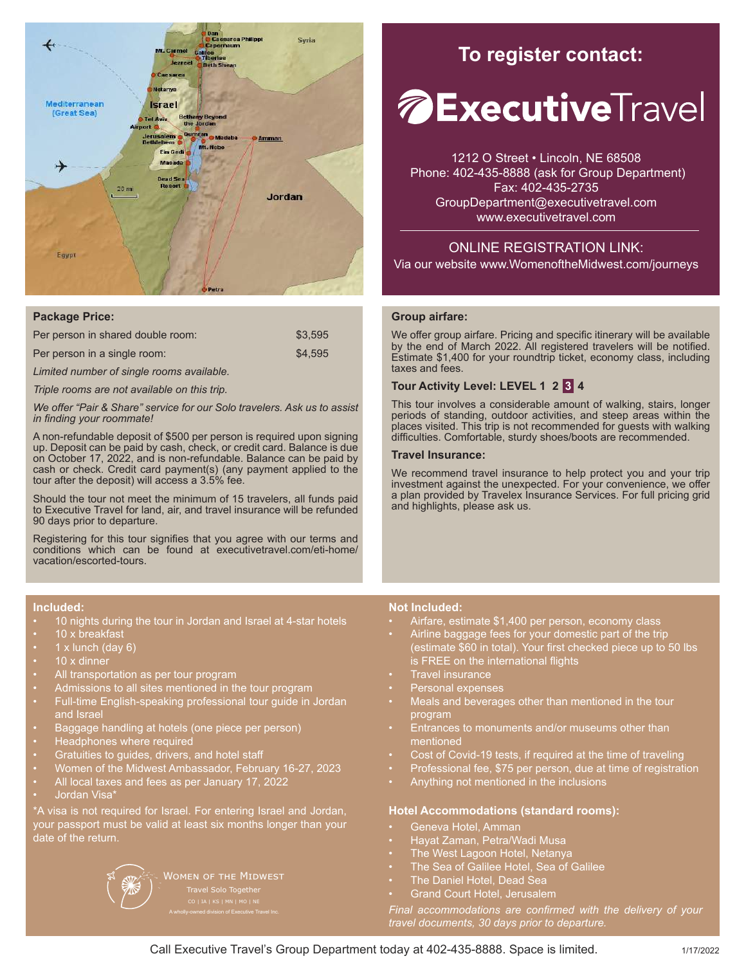

#### **Package Price:**

| Per person in shared double room: | \$3.595 |
|-----------------------------------|---------|
| Per person in a single room:      | \$4.595 |

*Limited number of single rooms available.*

*Triple rooms are not available on this trip.*

*We offer "Pair & Share" service for our Solo travelers. Ask us to assist in finding your roommate!* 

A non-refundable deposit of \$500 per person is required upon signing up. Deposit can be paid by cash, check, or credit card. Balance is due on October 17, 2022, and is non-refundable. Balance can be paid by cash or check. Credit card payment(s) (any payment applied to the tour after the deposit) will access a 3.5% fee.

Should the tour not meet the minimum of 15 travelers, all funds paid to Executive Travel for land, air, and travel insurance will be refunded 90 days prior to departure.

Registering for this tour signifies that you agree with our terms and conditions which can be found at executivetravel.com/eti-home/ vacation/escorted-tours.

#### **Included:**

- 10 nights during the tour in Jordan and Israel at 4-star hotels
- 10 x breakfast
- $1 x$  lunch (day  $6$ )
- 10 x dinner
- All transportation as per tour program
- Admissions to all sites mentioned in the tour program
- Full-time English-speaking professional tour guide in Jordan and Israel
- Baggage handling at hotels (one piece per person)
- Headphones where required
- Gratuities to guides, drivers, and hotel staff
- Women of the Midwest Ambassador, February 16-27, 2023
- All local taxes and fees as per January 17, 2022
- Jordan Visa\*

\*A visa is not required for Israel. For entering Israel and Jordan, your passport must be valid at least six months longer than your date of the return.



WOMEN OF THE MIDWEST A wholly-owned division of Executive Travel Inc.

## **To register contact:**

# *A* **Executive**Travel

1212 O Street • Lincoln, NE 68508 Phone: 402-435-8888 (ask for Group Department) Fax: 402-435-2735 GroupDepartment@executivetravel.com www.executivetravel.com

#### ONLINE REGISTRATION LINK:

Via our website www.WomenoftheMidwest.com/journeys

#### **Group airfare:**

We offer group airfare. Pricing and specific itinerary will be available by the end of March 2022. All registered travelers will be notified. Estimate \$1,400 for your roundtrip ticket, economy class, including taxes and fees.

#### **Tour Activity Level: LEVEL 1 2 3 4**

This tour involves a considerable amount of walking, stairs, longer periods of standing, outdoor activities, and steep areas within the places visited. This trip is not recommended for guests with walking difficulties. Comfortable, sturdy shoes/boots are recommended.

#### **Travel Insurance:**

We recommend travel insurance to help protect you and your trip investment against the unexpected. For your convenience, we offer a plan provided by Travelex Insurance Services. For full pricing grid and highlights, please ask us.

#### **Not Included:**

- Airfare, estimate \$1,400 per person, economy class
- Airline baggage fees for your domestic part of the trip (estimate \$60 in total). Your first checked piece up to 50 lbs is FREE on the international flights
- Travel insurance
- Personal expenses
- Meals and beverages other than mentioned in the tour program
- Entrances to monuments and/or museums other than mentioned
- Cost of Covid-19 tests, if required at the time of traveling
- Professional fee, \$75 per person, due at time of registration
- Anything not mentioned in the inclusions

#### **Hotel Accommodations (standard rooms):**

- Geneva Hotel, Amman
- Hayat Zaman, Petra/Wadi Musa
- The West Lagoon Hotel, Netanya
- The Sea of Galilee Hotel, Sea of Galilee
- The Daniel Hotel, Dead Sea
- Grand Court Hotel, Jerusalem

*Final accommodations are confirmed with the delivery of your travel documents, 30 days prior to departure.*

Call Executive Travel's Group Department today at 402-435-8888. Space is limited.